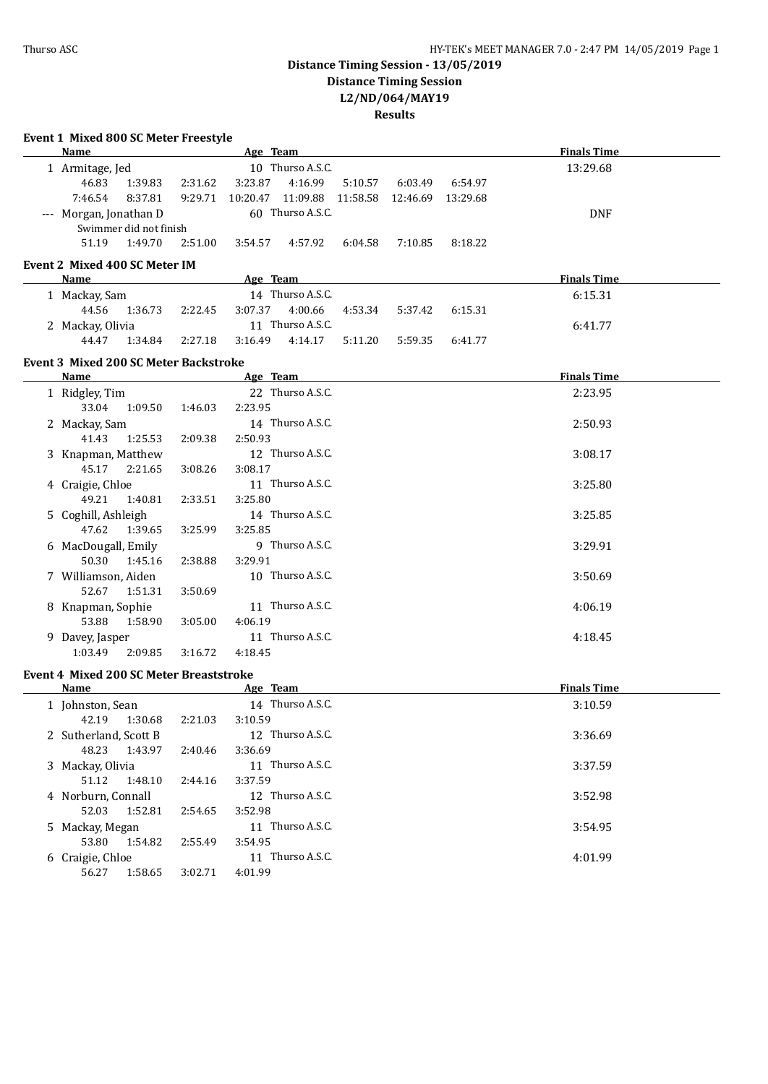### **Distance Timing Session - 13/05/2019 Distance Timing Session L2/ND/064/MAY19**

#### **Results**

| Event 1 Mixed 800 SC Meter Freestyle           |         |                    |          |          |                                            |                    |  |
|------------------------------------------------|---------|--------------------|----------|----------|--------------------------------------------|--------------------|--|
| Name                                           |         | Age Team           |          |          |                                            | <b>Finals Time</b> |  |
| 1 Armitage, Jed                                |         | 10 Thurso A.S.C.   |          |          |                                            | 13:29.68           |  |
| 46.83<br>1:39.83                               | 2:31.62 | 3:23.87<br>4:16.99 | 5:10.57  | 6:03.49  | 6:54.97                                    |                    |  |
| 7:46.54<br>8:37.81                             | 9:29.71 | 10:20.47 11:09.88  | 11:58.58 | 12:46.69 | 13:29.68                                   |                    |  |
| 60 Thurso A.S.C.<br>--- Morgan, Jonathan D     |         |                    |          |          |                                            | <b>DNF</b>         |  |
| Swimmer did not finish                         |         |                    |          |          |                                            |                    |  |
| 1:49.70<br>51.19                               | 2:51.00 | 3:54.57<br>4:57.92 | 6:04.58  | 7:10.85  | 8:18.22                                    |                    |  |
| Event 2 Mixed 400 SC Meter IM                  |         |                    |          |          |                                            |                    |  |
| Name                                           |         | Age Team           |          |          |                                            | <b>Finals Time</b> |  |
| 1 Mackay, Sam                                  |         | 14 Thurso A.S.C.   |          |          |                                            | 6:15.31            |  |
| 44.56<br>1:36.73                               | 2:22.45 | 3:07.37<br>4:00.66 | 4:53.34  | 5:37.42  | 6:15.31                                    |                    |  |
| 2 Mackay, Olivia                               |         | 11 Thurso A.S.C.   |          |          |                                            | 6:41.77            |  |
| 44.47<br>1:34.84                               | 2:27.18 | 3:16.49<br>4:14.17 | 5:11.20  | 5:59.35  | 6:41.77                                    |                    |  |
|                                                |         |                    |          |          |                                            |                    |  |
| <b>Event 3 Mixed 200 SC Meter Backstroke</b>   |         |                    |          |          |                                            |                    |  |
| Name                                           |         | Age Team           |          |          | <u> 1980 - Johann John Stone, markin f</u> | <b>Finals Time</b> |  |
| 1 Ridgley, Tim                                 |         | 22 Thurso A.S.C.   |          |          |                                            | 2:23.95            |  |
| 33.04<br>1:09.50                               | 1:46.03 | 2:23.95            |          |          |                                            |                    |  |
| 2 Mackay, Sam                                  |         | 14 Thurso A.S.C.   |          |          |                                            | 2:50.93            |  |
| 41.43<br>1:25.53                               | 2:09.38 | 2:50.93            |          |          |                                            |                    |  |
| 3 Knapman, Matthew                             |         | 12 Thurso A.S.C.   |          |          |                                            | 3:08.17            |  |
| 45.17<br>2:21.65<br>3:08.26<br>3:08.17         |         |                    |          |          |                                            |                    |  |
| 4 Craigie, Chloe                               |         | 11 Thurso A.S.C.   |          |          |                                            | 3:25.80            |  |
| 49.21<br>1:40.81                               | 2:33.51 | 3:25.80            |          |          |                                            |                    |  |
| 5 Coghill, Ashleigh                            |         | 14 Thurso A.S.C.   |          |          |                                            | 3:25.85            |  |
| 47.62<br>1:39.65                               | 3:25.99 | 3:25.85            |          |          |                                            |                    |  |
| 6 MacDougall, Emily                            |         | 9 Thurso A.S.C.    |          |          |                                            | 3:29.91            |  |
| 50.30<br>1:45.16                               | 2:38.88 | 3:29.91            |          |          |                                            |                    |  |
| 7 Williamson, Aiden                            |         | 10 Thurso A.S.C.   |          |          |                                            | 3:50.69            |  |
| 52.67<br>1:51.31                               | 3:50.69 |                    |          |          |                                            |                    |  |
| 8 Knapman, Sophie                              |         | 11 Thurso A.S.C.   |          |          |                                            | 4:06.19            |  |
| 53.88<br>1:58.90                               | 3:05.00 | 4:06.19            |          |          |                                            |                    |  |
| 9 Davey, Jasper                                |         | 11 Thurso A.S.C.   |          |          |                                            | 4:18.45            |  |
| 1:03.49<br>2:09.85                             | 3:16.72 | 4:18.45            |          |          |                                            |                    |  |
| <b>Event 4 Mixed 200 SC Meter Breaststroke</b> |         |                    |          |          |                                            |                    |  |
| Name                                           |         | Age Team           |          |          |                                            | <b>Finals Time</b> |  |
| 1 Johnston, Sean                               |         | 14 Thurso A.S.C.   |          |          |                                            | 3:10.59            |  |
| 42.19<br>1:30.68                               | 2:21.03 | 3:10.59            |          |          |                                            |                    |  |
| 2 Sutherland, Scott B                          |         | 12 Thurso A.S.C.   |          |          |                                            | 3:36.69            |  |
| 48.23<br>1:43.97                               | 2:40.46 | 3:36.69            |          |          |                                            |                    |  |
| 3 Mackay, Olivia                               |         | 11 Thurso A.S.C.   |          |          |                                            | 3:37.59            |  |
| 51.12<br>1:48.10                               | 2:44.16 | 3:37.59            |          |          |                                            |                    |  |
| 4 Norburn, Connall                             |         | 12 Thurso A.S.C.   |          |          |                                            | 3:52.98            |  |
| 52.03<br>1:52.81                               | 2:54.65 | 3:52.98            |          |          |                                            |                    |  |
| 5 Mackay, Megan                                |         | 11 Thurso A.S.C.   |          |          |                                            | 3:54.95            |  |
| 53.80<br>1:54.82                               | 2:55.49 | 3:54.95            |          |          |                                            |                    |  |
| 6 Craigie, Chloe                               |         | 11 Thurso A.S.C.   |          |          |                                            | 4:01.99            |  |
| 56.27<br>1:58.65                               | 3:02.71 | 4:01.99            |          |          |                                            |                    |  |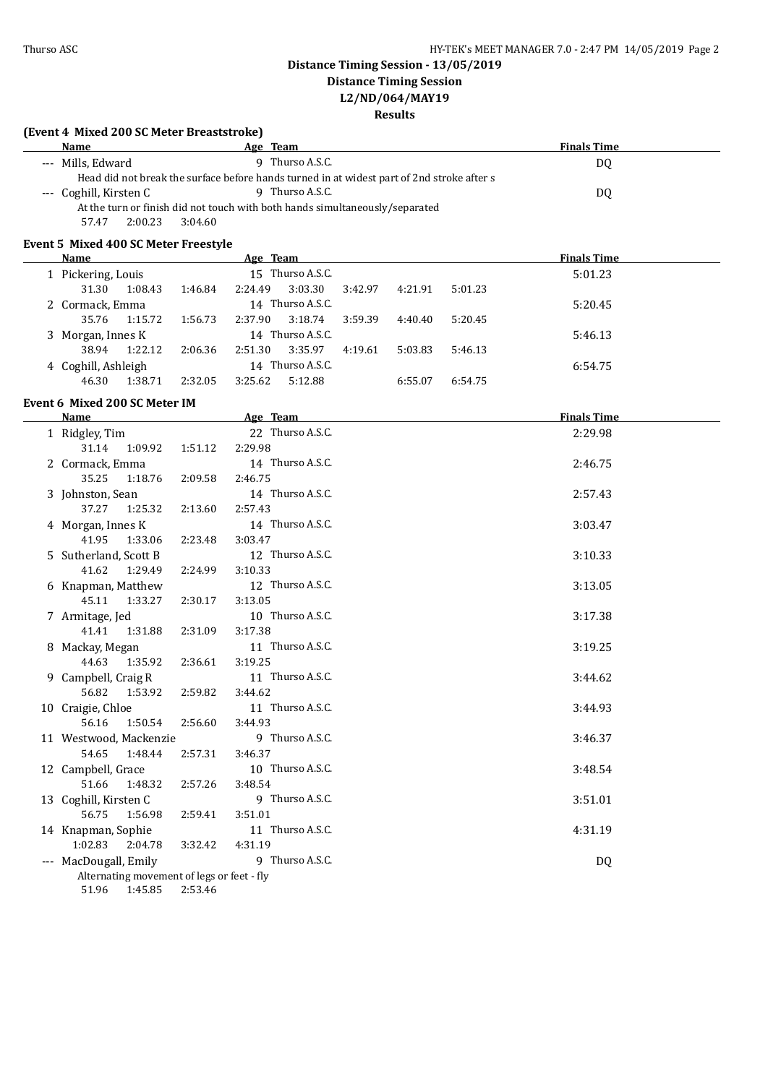## **Distance Timing Session - 13/05/2019**

**Distance Timing Session**

# **L2/ND/064/MAY19**

### **Results**

| (Event 4 Mixed 200 SC Meter Breaststroke)<br>Name                                                                                        |         | Age Team |                  |         |         |         | <b>Finals Time</b> |  |  |  |
|------------------------------------------------------------------------------------------------------------------------------------------|---------|----------|------------------|---------|---------|---------|--------------------|--|--|--|
|                                                                                                                                          |         |          |                  |         |         |         |                    |  |  |  |
| 9 Thurso A.S.C.<br>--- Mills, Edward<br>DQ<br>Head did not break the surface before hands turned in at widest part of 2nd stroke after s |         |          |                  |         |         |         |                    |  |  |  |
| 9 Thurso A.S.C.<br>--- Coghill, Kirsten C<br>DQ                                                                                          |         |          |                  |         |         |         |                    |  |  |  |
| At the turn or finish did not touch with both hands simultaneously/separated                                                             |         |          |                  |         |         |         |                    |  |  |  |
| 2:00.23<br>57.47                                                                                                                         | 3:04.60 |          |                  |         |         |         |                    |  |  |  |
|                                                                                                                                          |         |          |                  |         |         |         |                    |  |  |  |
| Event 5 Mixed 400 SC Meter Freestyle<br>Name                                                                                             |         |          |                  |         |         |         |                    |  |  |  |
|                                                                                                                                          |         | Age Team | 15 Thurso A.S.C. |         |         |         | <b>Finals Time</b> |  |  |  |
| 1 Pickering, Louis<br>31.30<br>1:08.43                                                                                                   | 1:46.84 | 2:24.49  | 3:03.30          | 3:42.97 | 4:21.91 | 5:01.23 | 5:01.23            |  |  |  |
|                                                                                                                                          |         |          | 14 Thurso A.S.C. |         |         |         |                    |  |  |  |
| 2 Cormack, Emma<br>35.76<br>1:15.72                                                                                                      | 1:56.73 | 2:37.90  | 3:18.74          | 3:59.39 | 4:40.40 | 5:20.45 | 5:20.45            |  |  |  |
|                                                                                                                                          |         |          | 14 Thurso A.S.C. |         |         |         |                    |  |  |  |
| 3 Morgan, Innes K<br>38.94<br>1:22.12                                                                                                    | 2:06.36 | 2:51.30  | 3:35.97          | 4:19.61 | 5:03.83 | 5:46.13 | 5:46.13            |  |  |  |
|                                                                                                                                          |         |          | 14 Thurso A.S.C. |         |         |         | 6:54.75            |  |  |  |
| 4 Coghill, Ashleigh<br>46.30<br>1:38.71                                                                                                  | 2:32.05 | 3:25.62  | 5:12.88          |         | 6:55.07 | 6:54.75 |                    |  |  |  |
|                                                                                                                                          |         |          |                  |         |         |         |                    |  |  |  |
| Event 6 Mixed 200 SC Meter IM                                                                                                            |         |          |                  |         |         |         |                    |  |  |  |
| <b>Name</b>                                                                                                                              |         | Age Team |                  |         |         |         | <b>Finals Time</b> |  |  |  |
| 1 Ridgley, Tim                                                                                                                           |         |          | 22 Thurso A.S.C. |         |         |         | 2:29.98            |  |  |  |
| 31.14<br>1:09.92                                                                                                                         | 1:51.12 | 2:29.98  |                  |         |         |         |                    |  |  |  |
| 2 Cormack, Emma                                                                                                                          |         |          | 14 Thurso A.S.C. |         |         |         | 2:46.75            |  |  |  |
| 35.25<br>1:18.76                                                                                                                         | 2:09.58 | 2:46.75  |                  |         |         |         |                    |  |  |  |
| 3 Johnston, Sean                                                                                                                         |         |          | 14 Thurso A.S.C. |         |         |         | 2:57.43            |  |  |  |
| 37.27<br>1:25.32                                                                                                                         | 2:13.60 | 2:57.43  |                  |         |         |         |                    |  |  |  |
| 4 Morgan, Innes K                                                                                                                        |         |          | 14 Thurso A.S.C. |         |         |         | 3:03.47            |  |  |  |
| 41.95<br>1:33.06                                                                                                                         | 2:23.48 | 3:03.47  |                  |         |         |         |                    |  |  |  |
| 5 Sutherland, Scott B                                                                                                                    |         |          | 12 Thurso A.S.C. |         |         |         | 3:10.33            |  |  |  |
| 41.62<br>1:29.49                                                                                                                         | 2:24.99 | 3:10.33  |                  |         |         |         |                    |  |  |  |
| 6 Knapman, Matthew                                                                                                                       |         |          | 12 Thurso A.S.C. |         |         |         | 3:13.05            |  |  |  |
| 45.11<br>1:33.27                                                                                                                         | 2:30.17 | 3:13.05  |                  |         |         |         |                    |  |  |  |
| 7 Armitage, Jed                                                                                                                          |         |          | 10 Thurso A.S.C. |         |         |         | 3:17.38            |  |  |  |
| 41.41<br>1:31.88                                                                                                                         | 2:31.09 | 3:17.38  |                  |         |         |         |                    |  |  |  |
| 8 Mackay, Megan                                                                                                                          |         |          | 11 Thurso A.S.C. |         |         |         | 3:19.25            |  |  |  |
| 44.63<br>1:35.92                                                                                                                         | 2:36.61 | 3:19.25  |                  |         |         |         |                    |  |  |  |
| 9 Campbell, Craig R                                                                                                                      |         |          | 11 Thurso A.S.C. |         |         |         | 3:44.62            |  |  |  |
| 56.82<br>1:53.92                                                                                                                         | 2:59.82 | 3:44.62  |                  |         |         |         |                    |  |  |  |
| 10 Craigie, Chloe                                                                                                                        |         |          | 11 Thurso A.S.C. |         |         |         | 3:44.93            |  |  |  |
| 56.16<br>1:50.54                                                                                                                         | 2:56.60 | 3:44.93  |                  |         |         |         |                    |  |  |  |
| 11 Westwood, Mackenzie                                                                                                                   |         |          | 9 Thurso A.S.C.  |         |         |         | 3:46.37            |  |  |  |
| 54.65<br>1:48.44                                                                                                                         | 2:57.31 | 3:46.37  |                  |         |         |         |                    |  |  |  |
| 12 Campbell, Grace                                                                                                                       |         |          | 10 Thurso A.S.C. |         |         |         | 3:48.54            |  |  |  |
| 51.66<br>1:48.32                                                                                                                         | 2:57.26 | 3:48.54  |                  |         |         |         |                    |  |  |  |
| 13 Coghill, Kirsten C                                                                                                                    |         |          | 9 Thurso A.S.C.  |         |         |         | 3:51.01            |  |  |  |
| 56.75<br>1:56.98                                                                                                                         | 2:59.41 | 3:51.01  |                  |         |         |         |                    |  |  |  |
| 14 Knapman, Sophie                                                                                                                       |         |          | 11 Thurso A.S.C. |         |         |         | 4:31.19            |  |  |  |
| 1:02.83<br>2:04.78                                                                                                                       | 3:32.42 | 4:31.19  |                  |         |         |         |                    |  |  |  |
| --- MacDougall, Emily                                                                                                                    |         |          | 9 Thurso A.S.C.  |         |         |         | DQ                 |  |  |  |
| Alternating movement of legs or feet - fly                                                                                               |         |          |                  |         |         |         |                    |  |  |  |
| 51.96<br>1:45.85                                                                                                                         | 2:53.46 |          |                  |         |         |         |                    |  |  |  |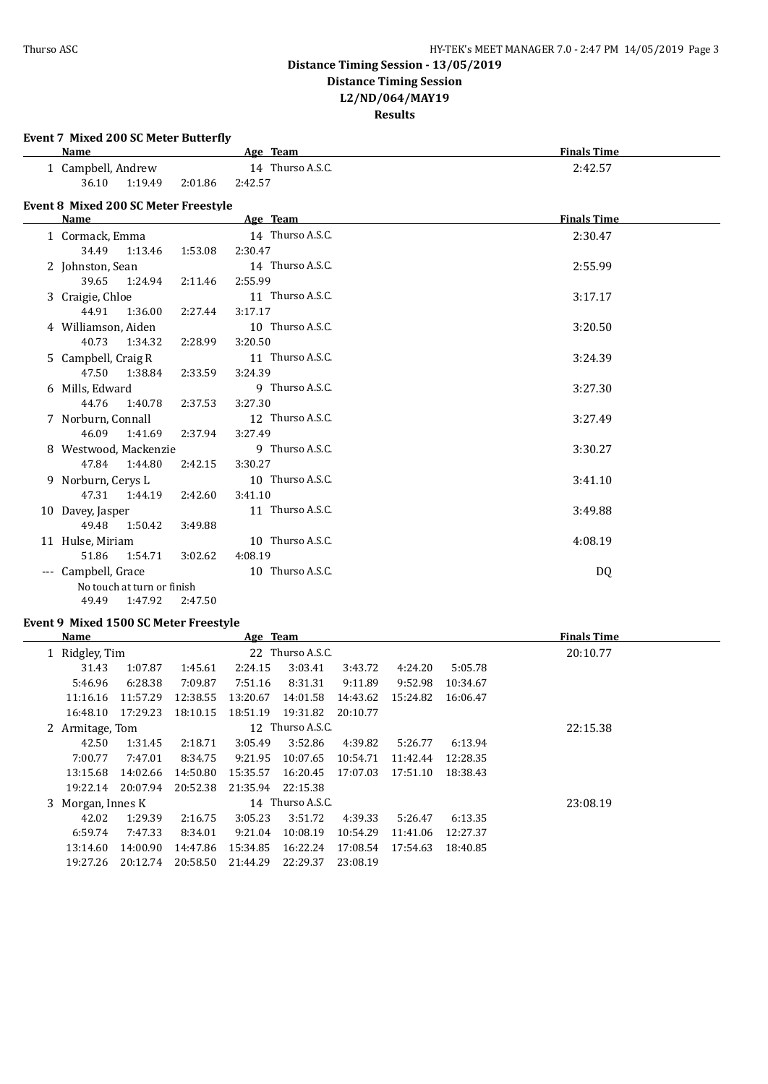### **Distance Timing Session - 13/05/2019 Distance Timing Session**

**L2/ND/064/MAY19**

**Results**

| Name                                        |         | Age Team         | <b>Finals Time</b> |
|---------------------------------------------|---------|------------------|--------------------|
| 1 Campbell, Andrew                          |         | 14 Thurso A.S.C. | 2:42.57            |
| 36.10 1:19.49                               | 2:01.86 | 2:42.57          |                    |
| <b>Event 8 Mixed 200 SC Meter Freestyle</b> |         |                  |                    |
| Name                                        |         | Age Team         | <b>Finals Time</b> |
| 1 Cormack, Emma                             |         | 14 Thurso A.S.C. | 2:30.47            |
| 34.49<br>1:13.46                            | 1:53.08 | 2:30.47          |                    |
| 2 Johnston, Sean                            |         | 14 Thurso A.S.C. | 2:55.99            |
| 39.65<br>1:24.94                            | 2:11.46 | 2:55.99          |                    |
| 3 Craigie, Chloe                            |         | 11 Thurso A.S.C. | 3:17.17            |
| 44.91<br>1:36.00                            | 2:27.44 | 3:17.17          |                    |
| 4 Williamson, Aiden                         |         | 10 Thurso A.S.C. | 3:20.50            |
| 40.73<br>1:34.32                            | 2:28.99 | 3:20.50          |                    |
| 5 Campbell, Craig R                         |         | 11 Thurso A.S.C. | 3:24.39            |
| 47.50<br>1:38.84                            | 2:33.59 | 3:24.39          |                    |
| 6 Mills, Edward                             |         | 9 Thurso A.S.C.  | 3:27.30            |
| 44.76<br>1:40.78                            | 2:37.53 | 3:27.30          |                    |
| 7 Norburn, Connall                          |         | 12 Thurso A.S.C. | 3:27.49            |
| 46.09<br>1:41.69                            | 2:37.94 | 3:27.49          |                    |
| 8 Westwood, Mackenzie                       |         | 9 Thurso A.S.C.  | 3:30.27            |
| 47.84<br>1:44.80                            | 2:42.15 | 3:30.27          |                    |
| 9 Norburn, Cerys L                          |         | 10 Thurso A.S.C. | 3:41.10            |
| 47.31 1:44.19                               | 2:42.60 | 3:41.10          |                    |
| 10 Davey, Jasper                            |         | 11 Thurso A.S.C. | 3:49.88            |
| 49.48<br>1:50.42                            | 3:49.88 |                  |                    |
| 11 Hulse, Miriam                            |         | 10 Thurso A.S.C. | 4:08.19            |
| 51.86<br>1:54.71                            | 3:02.62 | 4:08.19          |                    |
| --- Campbell, Grace                         |         | 10 Thurso A.S.C. | DQ                 |
| No touch at turn or finish                  |         |                  |                    |
| 1:47.92<br>49.49                            | 2:47.50 |                  |                    |
|                                             |         |                  |                    |

### **Event 9 Mixed 1500 SC Meter Freestyle**

| Name           |                                       |          | Age Team |                  |          |          |          | <b>Finals Time</b> |  |
|----------------|---------------------------------------|----------|----------|------------------|----------|----------|----------|--------------------|--|
| 1 Ridgley, Tim |                                       |          |          | 22 Thurso A.S.C. |          |          | 20:10.77 |                    |  |
| 31.43          | 1:07.87                               | 1:45.61  | 2:24.15  | 3:03.41          | 3:43.72  | 4:24.20  | 5:05.78  |                    |  |
| 5:46.96        | 6:28.38                               | 7:09.87  | 7:51.16  | 8:31.31          | 9:11.89  | 9:52.98  | 10:34.67 |                    |  |
| 11:16.16       | 11:57.29                              | 12:38.55 | 13:20.67 | 14:01.58         | 14:43.62 | 15:24.82 | 16:06.47 |                    |  |
| 16:48.10       | 17:29.23                              | 18:10.15 | 18:51.19 | 19:31.82         | 20:10.77 |          |          |                    |  |
|                | 12 Thurso A.S.C.<br>2 Armitage, Tom   |          |          |                  |          |          | 22:15.38 |                    |  |
| 42.50          | 1:31.45                               | 2:18.71  | 3:05.49  | 3:52.86          | 4:39.82  | 5:26.77  | 6:13.94  |                    |  |
| 7:00.77        | 7:47.01                               | 8:34.75  | 9:21.95  | 10:07.65         | 10:54.71 | 11:42.44 | 12:28.35 |                    |  |
| 13:15.68       | 14:02.66                              | 14:50.80 | 15:35.57 | 16:20.45         | 17:07.03 | 17:51.10 | 18:38.43 |                    |  |
| 19:22.14       | 20:07.94                              | 20:52.38 | 21:35.94 | 22:15.38         |          |          |          |                    |  |
|                | 14 Thurso A.S.C.<br>3 Morgan, Innes K |          |          |                  |          |          | 23:08.19 |                    |  |
| 42.02          | 1:29.39                               | 2:16.75  | 3:05.23  | 3:51.72          | 4:39.33  | 5:26.47  | 6:13.35  |                    |  |
| 6:59.74        | 7:47.33                               | 8:34.01  | 9:21.04  | 10:08.19         | 10:54.29 | 11:41.06 | 12:27.37 |                    |  |
| 13:14.60       | 14:00.90                              | 14:47.86 | 15:34.85 | 16:22.24         | 17:08.54 | 17:54.63 | 18:40.85 |                    |  |
| 19:27.26       | 20:12.74                              | 20:58.50 | 21:44.29 | 22:29.37         | 23:08.19 |          |          |                    |  |